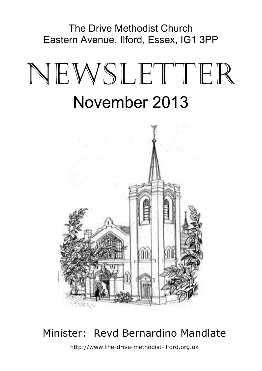The Drive Methodist Church Eastern Avenue, Ilford, Essex, IG1 3PP

# NEWSLETTER November 2013



# Minister: Revd Bernardino Mandlate

http://www.the-drive-methodist-ilford.org.uk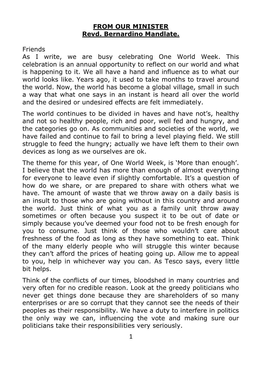#### **FROM OUR MINISTER Revd. Bernardino Mandlate.**

#### Friends

As I write, we are busy celebrating One World Week. This celebration is an annual opportunity to reflect on our world and what is happening to it. We all have a hand and influence as to what our world looks like. Years ago, it used to take months to travel around the world. Now, the world has become a global village, small in such a way that what one says in an instant is heard all over the world and the desired or undesired effects are felt immediately.

The world continues to be divided in haves and have not's, healthy and not so healthy people, rich and poor, well fed and hungry, and the categories go on. As communities and societies of the world, we have failed and continue to fail to bring a level playing field. We still struggle to feed the hungry; actually we have left them to their own devices as long as we ourselves are ok.

The theme for this year, of One World Week, is 'More than enough'. I believe that the world has more than enough of almost everything for everyone to leave even if slightly comfortable. It's a question of how do we share, or are prepared to share with others what we have. The amount of waste that we throw away on a daily basis is an insult to those who are going without in this country and around the world. Just think of what you as a family unit throw away sometimes or often because you suspect it to be out of date or simply because you've deemed your food not to be fresh enough for you to consume. Just think of those who wouldn't care about freshness of the food as long as they have something to eat. Think of the many elderly people who will struggle this winter because they can't afford the prices of heating going up. Allow me to appeal to you, help in whichever way you can. As Tesco says, every little bit helps.

Think of the conflicts of our times, bloodshed in many countries and very often for no credible reason. Look at the greedy politicians who never get things done because they are shareholders of so many enterprises or are so corrupt that they cannot see the needs of their peoples as their responsibility. We have a duty to interfere in politics the only way we can, influencing the vote and making sure our politicians take their responsibilities very seriously.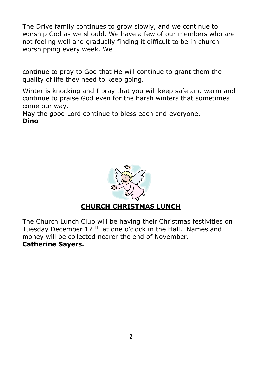The Drive family continues to grow slowly, and we continue to worship God as we should. We have a few of our members who are not feeling well and gradually finding it difficult to be in church worshipping every week. We

continue to pray to God that He will continue to grant them the quality of life they need to keep going.

Winter is knocking and I pray that you will keep safe and warm and continue to praise God even for the harsh winters that sometimes come our way.

May the good Lord continue to bless each and everyone. **Dino**



The Church Lunch Club will be having their Christmas festivities on Tuesday December  $17<sup>TH</sup>$  at one o'clock in the Hall. Names and money will be collected nearer the end of November. **Catherine Sayers.**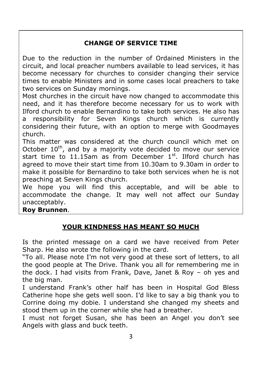# **CHANGE OF SERVICE TIME**

Due to the reduction in the number of Ordained Ministers in the circuit, and local preacher numbers available to lead services, it has become necessary for churches to consider changing their service times to enable Ministers and in some cases local preachers to take two services on Sunday mornings.

Most churches in the circuit have now changed to accommodate this need, and it has therefore become necessary for us to work with Ilford church to enable Bernardino to take both services. He also has a responsibility for Seven Kings church which is currently considering their future, with an option to merge with Goodmayes church.

This matter was considered at the church council which met on October  $10^{th}$ , and by a majority vote decided to move our service start time to 11.15am as from December  $1<sup>st</sup>$ . Ilford church has agreed to move their start time from 10.30am to 9.30am in order to make it possible for Bernardino to take both services when he is not preaching at Seven Kings church.

We hope you will find this acceptable, and will be able to accommodate the change. It may well not affect our Sunday unacceptably.

**Roy Brunnen**.

# **YOUR KINDNESS HAS MEANT SO MUCH**

Is the printed message on a card we have received from Peter Sharp. He also wrote the following in the card.

"To all. Please note I'm not very good at these sort of letters, to all the good people at The Drive. Thank you all for remembering me in the dock. I had visits from Frank, Dave, Janet & Roy – oh yes and the big man.

I understand Frank's other half has been in Hospital God Bless Catherine hope she gets well soon. I'd like to say a big thank you to Corrine doing my dobie. I understand she changed my sheets and stood them up in the corner while she had a breather.

I must not forget Susan, she has been an Angel you don't see Angels with glass and buck teeth.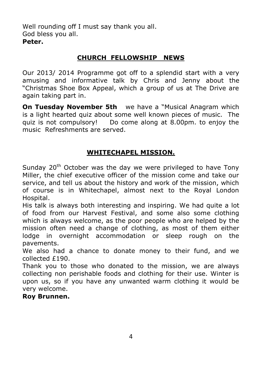Well rounding off I must say thank you all. God bless you all. **Peter.**

# **CHURCH FELLOWSHIP NEWS**

Our 2013/ 2014 Programme got off to a splendid start with a very amusing and informative talk by Chris and Jenny about the "Christmas Shoe Box Appeal, which a group of us at The Drive are again taking part in.

**On Tuesday November 5th** we have a "Musical Anagram which is a light hearted quiz about some well known pieces of music. The quiz is not compulsory! Do come along at 8.00pm. to enjoy the music Refreshments are served.

# **WHITECHAPEL MISSION.**

Sunday  $20<sup>th</sup>$  October was the day we were privileged to have Tony Miller, the chief executive officer of the mission come and take our service, and tell us about the history and work of the mission, which of course is in Whitechapel, almost next to the Royal London Hospital.

His talk is always both interesting and inspiring. We had quite a lot of food from our Harvest Festival, and some also some clothing which is always welcome, as the poor people who are helped by the mission often need a change of clothing, as most of them either lodge in overnight accommodation or sleep rough on the pavements.

We also had a chance to donate money to their fund, and we collected £190.

Thank you to those who donated to the mission, we are always collecting non perishable foods and clothing for their use. Winter is upon us, so if you have any unwanted warm clothing it would be very welcome.

#### **Roy Brunnen.**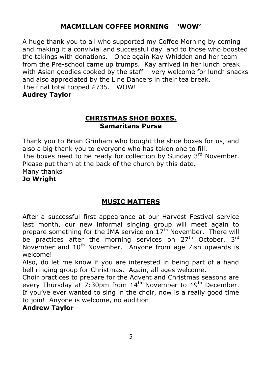# **MACMILLAN COFFEE MORNING 'WOW'**

A huge thank you to all who supported my Coffee Morning by coming and making it a convivial and successful day and to those who boosted the takings with donations. Once again Kay Whidden and her team from the Pre-school came up trumps. Kay arrived in her lunch break with Asian goodies cooked by the staff – very welcome for lunch snacks and also appreciated by the Line Dancers in their tea break. The final total topped £735. WOW! **Audrey Taylor**

#### **CHRISTMAS SHOE BOXES. Samaritans Purse**

Thank you to Brian Grinham who bought the shoe boxes for us, and also a big thank you to everyone who has taken one to fill. The boxes need to be ready for collection by Sunday  $3<sup>rd</sup>$  November. Please put them at the back of the church by this date. Many thanks **Jo Wright**

# **MUSIC MATTERS**

After a successful first appearance at our Harvest Festival service last month, our new informal singing group will meet again to prepare something for the JMA service on  $17<sup>th</sup>$  November. There will be practices after the morning services on 27<sup>th</sup> October, 3<sup>rd</sup> November and 10<sup>th</sup> November. Anyone from age 7ish upwards is welcome!

Also, do let me know if you are interested in being part of a hand bell ringing group for Christmas. Again, all ages welcome.

Choir practices to prepare for the Advent and Christmas seasons are every Thursday at 7:30pm from  $14<sup>th</sup>$  November to  $19<sup>th</sup>$  December. If you've ever wanted to sing in the choir, now is a really good time to join! Anyone is welcome, no audition.

# **Andrew Taylor**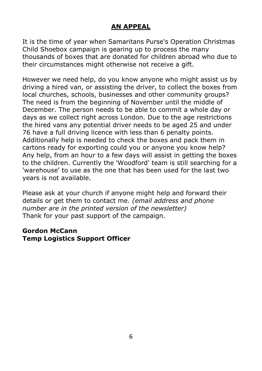# **AN APPEAL**

It is the time of year when Samaritans Purse's Operation Christmas Child Shoebox campaign is gearing up to process the many thousands of boxes that are donated for children abroad who due to their circumstances might otherwise not receive a gift.

However we need help, do you know anyone who might assist us by driving a hired van, or assisting the driver, to collect the boxes from local churches, schools, businesses and other community groups? The need is from the beginning of November until the middle of December. The person needs to be able to commit a whole day or days as we collect right across London. Due to the age restrictions the hired vans any potential driver needs to be aged 25 and under 76 have a full driving licence with less than 6 penalty points. Additionally help is needed to check the boxes and pack them in cartons ready for exporting could you or anyone you know help? Any help, from an hour to a few days will assist in getting the boxes to the children. Currently the 'Woodford' team is still searching for a 'warehouse' to use as the one that has been used for the last two years is not available.

Please ask at your church if anyone might help and forward their details or get them to contact me. *(email address and phone number are in the printed version of the newsletter)* Thank for your past support of the campaign.

#### **Gordon McCann Temp Logistics Support Officer**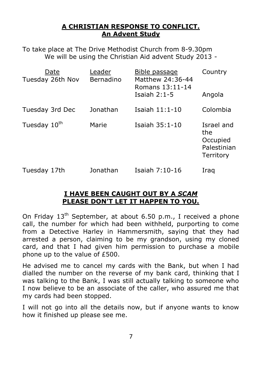#### **A CHRISTIAN RESPONSE TO CONFLICT. An Advent Study**

To take place at The Drive Methodist Church from 8-9.30pm We will be using the Christian Aid advent Study 2013 -

| Date<br>Tuesday 26th Nov | Leader<br>Bernadino | Bible passage<br>Matthew 24:36-44<br>Romans 13:11-14 | Country                                                   |
|--------------------------|---------------------|------------------------------------------------------|-----------------------------------------------------------|
|                          |                     | Isaiah $2:1-5$                                       | Angola                                                    |
| Tuesday 3rd Dec          | Jonathan            | Isaiah 11:1-10                                       | Colombia                                                  |
| Tuesday 10 <sup>th</sup> | Marie               | Isaiah 35:1-10                                       | Israel and<br>the<br>Occupied<br>Palestinian<br>Territory |
| Tuesday 17th             | Jonathan            | Isaiah 7:10-16                                       | Iraq                                                      |

#### **I HAVE BEEN CAUGHT OUT BY A** *SCAM* **PLEASE DON'T LET IT HAPPEN TO YOU.**

On Friday  $13<sup>th</sup>$  September, at about 6.50 p.m., I received a phone call, the number for which had been withheld, purporting to come from a Detective Harley in Hammersmith, saying that they had arrested a person, claiming to be my grandson, using my cloned card, and that I had given him permission to purchase a mobile phone up to the value of £500.

He advised me to cancel my cards with the Bank, but when I had dialled the number on the reverse of my bank card, thinking that I was talking to the Bank, I was still actually talking to someone who I now believe to be an associate of the caller, who assured me that my cards had been stopped.

I will not go into all the details now, but if anyone wants to know how it finished up please see me.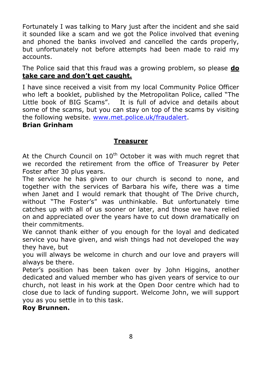Fortunately I was talking to Mary just after the incident and she said it sounded like a scam and we got the Police involved that evening and phoned the banks involved and cancelled the cards properly, but unfortunately not before attempts had been made to raid my accounts.

The Police said that this fraud was a growing problem, so please **do take care and don't get caught.**

I have since received a visit from my local Community Police Officer who left a booklet, published by the Metropolitan Police, called "The Little book of BIG Scams". It is full of advice and details about some of the scams, but you can stay on top of the scams by visiting the following website. www.met.police.uk/fraudalert.

#### **Brian Grinham**

#### **Treasurer**

At the Church Council on  $10<sup>th</sup>$  October it was with much regret that we recorded the retirement from the office of Treasurer by Peter Foster after 30 plus years.

The service he has given to our church is second to none, and together with the services of Barbara his wife, there was a time when Janet and I would remark that thought of The Drive church, without "The Foster's" was unthinkable. But unfortunately time catches up with all of us sooner or later, and those we have relied on and appreciated over the years have to cut down dramatically on their commitments.

We cannot thank either of you enough for the loyal and dedicated service you have given, and wish things had not developed the way they have, but

you will always be welcome in church and our love and prayers will always be there.

Peter's position has been taken over by John Higgins, another dedicated and valued member who has given years of service to our church, not least in his work at the Open Door centre which had to close due to lack of funding support. Welcome John, we will support you as you settle in to this task.

#### **Roy Brunnen.**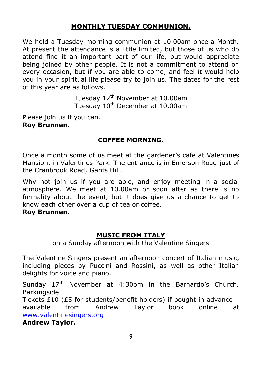# **MONTHLY TUESDAY COMMUNION.**

We hold a Tuesday morning communion at 10.00am once a Month. At present the attendance is a little limited, but those of us who do attend find it an important part of our life, but would appreciate being joined by other people. It is not a commitment to attend on every occasion, but if you are able to come, and feel it would help you in your spiritual life please try to join us. The dates for the rest of this year are as follows.

> Tuesday 12th November at 10.00am Tuesday 10<sup>th</sup> December at 10.00am

Please join us if you can. **Roy Brunnen**.

#### **COFFEE MORNING.**

Once a month some of us meet at the gardener's cafe at Valentines Mansion, in Valentines Park. The entrance is in Emerson Road just of the Cranbrook Road, Gants Hill.

Why not join us if you are able, and enjoy meeting in a social atmosphere. We meet at 10.00am or soon after as there is no formality about the event, but it does give us a chance to get to know each other over a cup of tea or coffee.

#### **Roy Brunnen.**

#### **MUSIC FROM ITALY**

on a Sunday afternoon with the Valentine Singers

The Valentine Singers present an afternoon concert of Italian music, including pieces by Puccini and Rossini, as well as other Italian delights for voice and piano.

Sundav 17<sup>th</sup> November at 4:30pm in the Barnardo's Church. Barkingside.

Tickets £10 (£5 for students/benefit holders) if bought in advance – available from Andrew Taylor book online at www.valentinesingers.org

**Andrew Taylor.**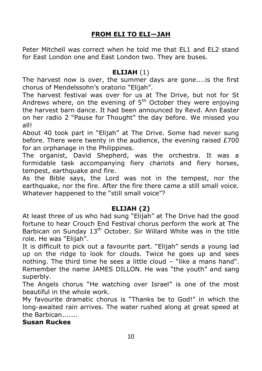# **FROM ELI TO ELI—JAH**

Peter Mitchell was correct when he told me that EL1 and EL2 stand for East London one and East London two. They are buses.

#### **ELIJAH** (1)

The harvest now is over, the summer days are gone....is the first chorus of Mendelssohn's oratorio "Elijah".

The harvest festival was over for us at The Drive, but not for St Andrews where, on the evening of  $5<sup>th</sup>$  October they were enjoying the harvest barn dance. It had been announced by Revd. Ann Easter on her radio 2 "Pause for Thought" the day before. We missed you all!

About 40 took part in "Elijah" at The Drive. Some had never sung before. There were twenty in the audience, the evening raised  $£700$ for an orphanage in the Philippines.

The organist, David Shepherd, was the orchestra. It was a formidable task accompanying fiery chariots and fiery horses, tempest, earthquake and fire.

As the Bible says, the Lord was not in the tempest, nor the earthquake, nor the fire. After the fire there came a still small voice. Whatever happened to the "still small voice"?

#### **ELIJAH (2)**

At least three of us who had sung "Elijah" at The Drive had the good fortune to hear Crouch End Festival chorus perform the work at The Barbican on Sunday  $13<sup>th</sup>$  October. Sir Willard White was in the title role. He was "Elijah".

It is difficult to pick out a favourite part. "Elijah" sends a young lad up on the ridge to look for clouds. Twice he goes up and sees nothing. The third time he sees a little cloud – "like a mans hand". Remember the name JAMES DILLON. He was "the youth" and sang superbly.

The Angels chorus "He watching over Israel" is one of the most beautiful in the whole work.

My favourite dramatic chorus is "Thanks be to God!" in which the long-awaited rain arrives. The water rushed along at great speed at the Barbican.......

**Susan Ruckes**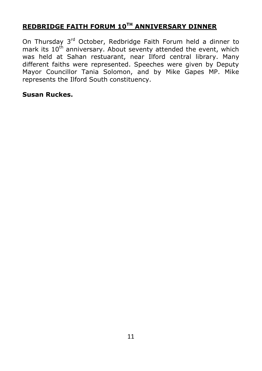# **REDBRIDGE FAITH FORUM 10TH ANNIVERSARY DINNER**

On Thursday 3<sup>rd</sup> October, Redbridge Faith Forum held a dinner to mark its 10<sup>th</sup> anniversary. About seventy attended the event, which was held at Sahan restuarant, near Ilford central library. Many different faiths were represented. Speeches were given by Deputy Mayor Councillor Tania Solomon, and by Mike Gapes MP. Mike represents the Ilford South constituency.

#### **Susan Ruckes.**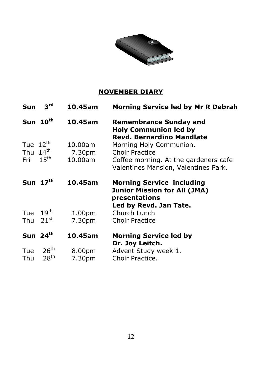

# **NOVEMBER DIARY**

| Sun                  | 3 <sup>rd</sup>                      | 10.45am            | Morning Service led by Mr R Debrah                                                                                 |
|----------------------|--------------------------------------|--------------------|--------------------------------------------------------------------------------------------------------------------|
|                      | Sun 10th                             | 10.45am            | <b>Remembrance Sunday and</b><br><b>Holy Communion led by</b><br><b>Revd. Bernardino Mandlate</b>                  |
| Tue $12^{\text{th}}$ |                                      | 10.00am            | Morning Holy Communion.                                                                                            |
| Thu $14th$           |                                      | 7.30pm             | Choir Practice                                                                                                     |
| Fri                  | $15^{\text{th}}$                     | 10.00am            | Coffee morning. At the gardeners cafe<br>Valentines Mansion, Valentines Park.                                      |
|                      | Sun $17th$                           | 10.45am            | <b>Morning Service including</b><br><b>Junior Mission for All (JMA)</b><br>presentations<br>Led by Revd. Jan Tate. |
| Tue                  | 19 <sup>th</sup>                     | 1.00 <sub>pm</sub> | Church Lunch                                                                                                       |
| Thu                  | $21^{st}$                            | 7.30pm             | <b>Choir Practice</b>                                                                                              |
|                      | Sun $24th$                           | 10.45am            | <b>Morning Service led by</b><br>Dr. Joy Leitch.                                                                   |
| Tue<br>Thu           | $26^{\text{th}}$<br>28 <sup>th</sup> | 8.00pm<br>7.30pm   | Advent Study week 1.<br>Choir Practice.                                                                            |